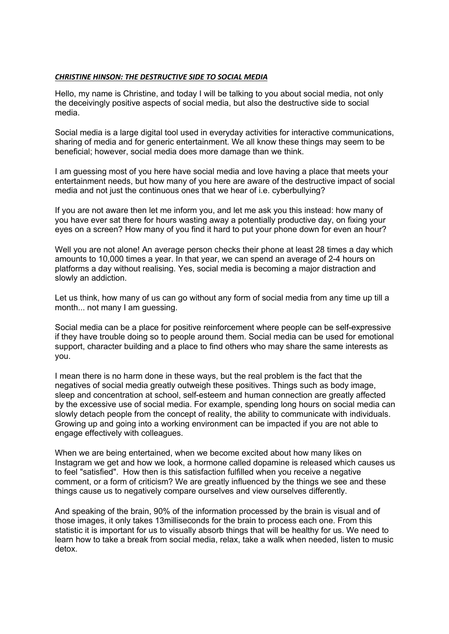## *CHRISTINE HINSON: THE DESTRUCTIVE SIDE TO SOCIAL MEDIA*

Hello, my name is Christine, and today I will be talking to you about social media, not only the deceivingly positive aspects of social media, but also the destructive side to social media.

Social media is a large digital tool used in everyday activities for interactive communications, sharing of media and for generic entertainment. We all know these things may seem to be beneficial; however, social media does more damage than we think.

I am guessing most of you here have social media and love having a place that meets your entertainment needs, but how many of you here are aware of the destructive impact of social media and not just the continuous ones that we hear of i.e. cyberbullying?

If you are not aware then let me inform you, and let me ask you this instead: how many of you have ever sat there for hours wasting away a potentially productive day, on fixing your eyes on a screen? How many of you find it hard to put your phone down for even an hour?

Well you are not alone! An average person checks their phone at least 28 times a day which amounts to 10,000 times a year. In that year, we can spend an average of 2-4 hours on platforms a day without realising. Yes, social media is becoming a major distraction and slowly an addiction.

Let us think, how many of us can go without any form of social media from any time up till a month... not many I am guessing.

Social media can be a place for positive reinforcement where people can be self-expressive if they have trouble doing so to people around them. Social media can be used for emotional support, character building and a place to find others who may share the same interests as you.

I mean there is no harm done in these ways, but the real problem is the fact that the negatives of social media greatly outweigh these positives. Things such as body image, sleep and concentration at school, self-esteem and human connection are greatly affected by the excessive use of social media. For example, spending long hours on social media can slowly detach people from the concept of reality, the ability to communicate with individuals. Growing up and going into a working environment can be impacted if you are not able to engage effectively with colleagues.

When we are being entertained, when we become excited about how many likes on Instagram we get and how we look, a hormone called dopamine is released which causes us to feel "satisfied". How then is this satisfaction fulfilled when you receive a negative comment, or a form of criticism? We are greatly influenced by the things we see and these things cause us to negatively compare ourselves and view ourselves differently.

And speaking of the brain, 90% of the information processed by the brain is visual and of those images, it only takes 13milliseconds for the brain to process each one. From this statistic it is important for us to visually absorb things that will be healthy for us. We need to learn how to take a break from social media, relax, take a walk when needed, listen to music detox.